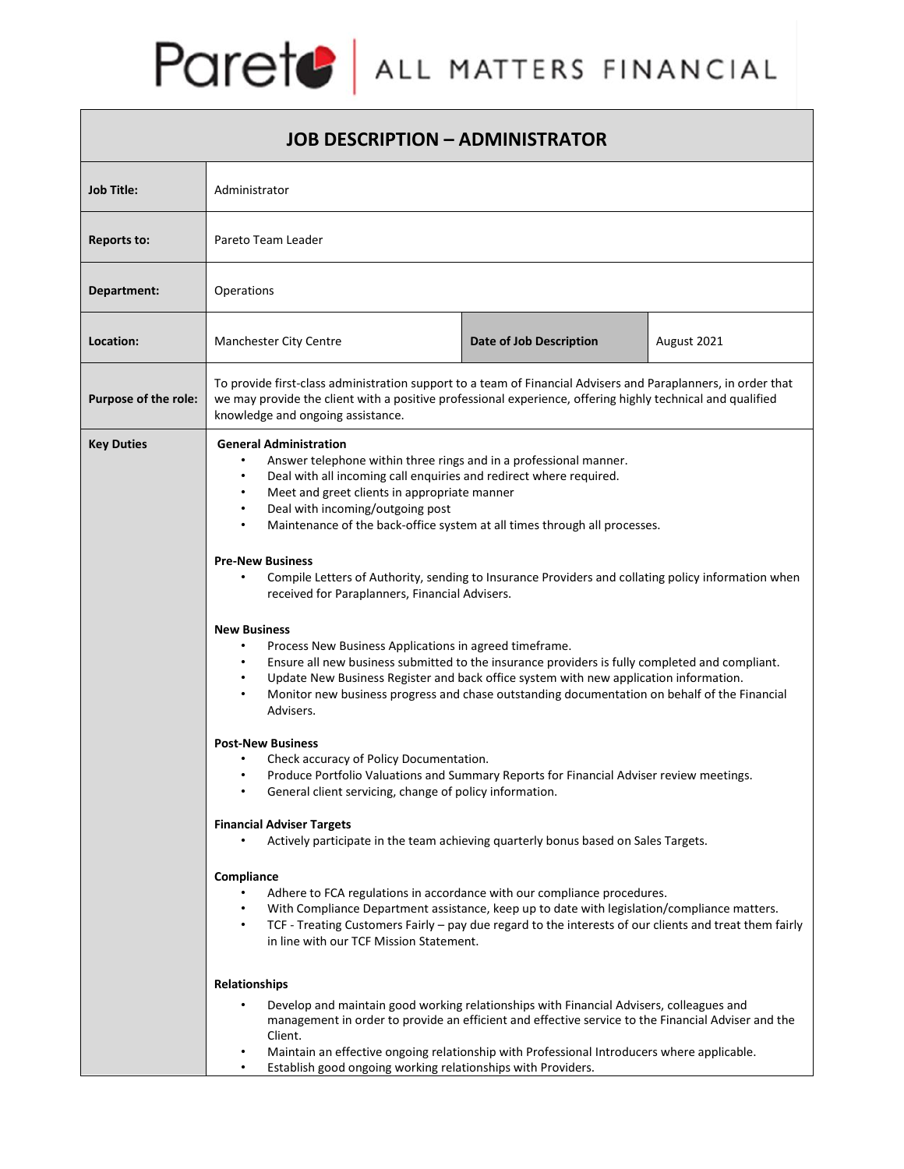## Parete | ALL MATTERS FINANCIAL

| <b>JOB DESCRIPTION - ADMINISTRATOR</b> |                                                                                                                                                                                                                                                                                                                                                                                                                                                                                                                                                                                                                                                                                                                                                                                                                                                                                                                                                                                                                                                                                                                                                                                                                                                                                        |                         |             |
|----------------------------------------|----------------------------------------------------------------------------------------------------------------------------------------------------------------------------------------------------------------------------------------------------------------------------------------------------------------------------------------------------------------------------------------------------------------------------------------------------------------------------------------------------------------------------------------------------------------------------------------------------------------------------------------------------------------------------------------------------------------------------------------------------------------------------------------------------------------------------------------------------------------------------------------------------------------------------------------------------------------------------------------------------------------------------------------------------------------------------------------------------------------------------------------------------------------------------------------------------------------------------------------------------------------------------------------|-------------------------|-------------|
| <b>Job Title:</b>                      | Administrator                                                                                                                                                                                                                                                                                                                                                                                                                                                                                                                                                                                                                                                                                                                                                                                                                                                                                                                                                                                                                                                                                                                                                                                                                                                                          |                         |             |
| Reports to:                            | Pareto Team Leader                                                                                                                                                                                                                                                                                                                                                                                                                                                                                                                                                                                                                                                                                                                                                                                                                                                                                                                                                                                                                                                                                                                                                                                                                                                                     |                         |             |
| Department:                            | Operations                                                                                                                                                                                                                                                                                                                                                                                                                                                                                                                                                                                                                                                                                                                                                                                                                                                                                                                                                                                                                                                                                                                                                                                                                                                                             |                         |             |
| Location:                              | <b>Manchester City Centre</b>                                                                                                                                                                                                                                                                                                                                                                                                                                                                                                                                                                                                                                                                                                                                                                                                                                                                                                                                                                                                                                                                                                                                                                                                                                                          | Date of Job Description | August 2021 |
| Purpose of the role:                   | To provide first-class administration support to a team of Financial Advisers and Paraplanners, in order that<br>we may provide the client with a positive professional experience, offering highly technical and qualified<br>knowledge and ongoing assistance.                                                                                                                                                                                                                                                                                                                                                                                                                                                                                                                                                                                                                                                                                                                                                                                                                                                                                                                                                                                                                       |                         |             |
| <b>Key Duties</b>                      | <b>General Administration</b><br>Answer telephone within three rings and in a professional manner.<br>Deal with all incoming call enquiries and redirect where required.<br>٠<br>Meet and greet clients in appropriate manner<br>Deal with incoming/outgoing post<br>Maintenance of the back-office system at all times through all processes.<br><b>Pre-New Business</b><br>Compile Letters of Authority, sending to Insurance Providers and collating policy information when<br>received for Paraplanners, Financial Advisers.<br><b>New Business</b><br>Process New Business Applications in agreed timeframe.<br>Ensure all new business submitted to the insurance providers is fully completed and compliant.<br>Update New Business Register and back office system with new application information.<br>Monitor new business progress and chase outstanding documentation on behalf of the Financial<br>Advisers.<br><b>Post-New Business</b><br>Check accuracy of Policy Documentation.<br>Produce Portfolio Valuations and Summary Reports for Financial Adviser review meetings.<br>General client servicing, change of policy information.<br>٠<br><b>Financial Adviser Targets</b><br>Actively participate in the team achieving quarterly bonus based on Sales Targets. |                         |             |
|                                        | Compliance<br>Adhere to FCA regulations in accordance with our compliance procedures.<br>With Compliance Department assistance, keep up to date with legislation/compliance matters.<br>٠<br>TCF - Treating Customers Fairly - pay due regard to the interests of our clients and treat them fairly<br>٠<br>in line with our TCF Mission Statement.                                                                                                                                                                                                                                                                                                                                                                                                                                                                                                                                                                                                                                                                                                                                                                                                                                                                                                                                    |                         |             |
|                                        | <b>Relationships</b><br>Develop and maintain good working relationships with Financial Advisers, colleagues and<br>management in order to provide an efficient and effective service to the Financial Adviser and the<br>Client.<br>Maintain an effective ongoing relationship with Professional Introducers where applicable.<br>Establish good ongoing working relationships with Providers.<br>$\bullet$                                                                                                                                                                                                                                                                                                                                                                                                                                                                                                                                                                                                                                                                                                                                                                                                                                                                            |                         |             |